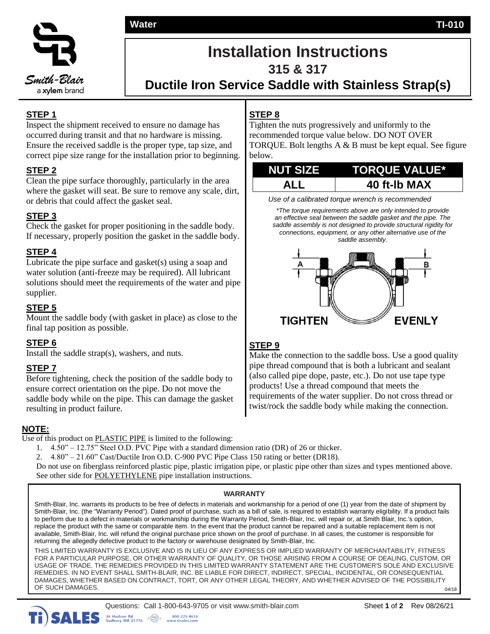**Water Water TI-010**



# **Installation Instructions**

**315 & 317**

**Ductile Iron Service Saddle with Stainless Strap(s)**

# **STEP 1**

Inspect the shipment received to ensure no damage has occurred during transit and that no hardware is missing. Ensure the received saddle is the proper type, tap size, and correct pipe size range for the installation prior to beginning.

# **STEP 2**

Clean the pipe surface thoroughly, particularly in the area where the gasket will seat. Be sure to remove any scale, dirt, or debris that could affect the gasket seal.

# **STEP 3**

Check the gasket for proper positioning in the saddle body. If necessary, properly position the gasket in the saddle body.

# **STEP 4**

Lubricate the pipe surface and gasket(s) using a soap and water solution (anti-freeze may be required). All lubricant solutions should meet the requirements of the water and pipe supplier.

# **STEP 5**

Mount the saddle body (with gasket in place) as close to the final tap position as possible.

# **STEP 6**

Install the saddle strap(s), washers, and nuts.

# **STEP 7**

Before tightening, check the position of the saddle body to ensure correct orientation on the pipe. Do not move the saddle body while on the pipe. This can damage the gasket resulting in product failure.

# **NOTE:**

Use of this product on **PLASTIC PIPE** is limited to the following:

- 1. 4.50" 12.75" Steel O.D. PVC Pipe with a standard dimension ratio (DR) of 26 or thicker.
- 2. 4.80" 21.60" Cast/Ductile Iron O.D. C-900 PVC Pipe Class 150 rating or better (DR18).

Do not use on fiberglass reinforced plastic pipe, plastic irrigation pipe, or plastic pipe other than sizes and types mentioned above. See other side for POLYETHYLENE pipe installation instructions.

### **WARRANTY**

Smith-Blair, Inc. warrants its products to be free of defects in materials and workmanship for a period of one (1) year from the date of shipment by Smith-Blair, Inc. (the "Warranty Period"). Dated proof of purchase, such as a bill of sale, is required to establish warranty eligibility. If a product fails to perform due to a defect in materials or workmanship during the Warranty Period, Smith-Blair, Inc. will repair or, at Smith Blair, Inc.'s option, replace the product with the same or comparable item. In the event that the product cannot be repaired and a suitable replacement item is not available, Smith-Blair, Inc. will refund the original purchase price shown on the proof of purchase. In all cases, the customer is responsible for returning the allegedly defective product to the factory or warehouse designated by Smith-Blair, Inc.

THIS LIMITED WARRANTY IS EXCLUSIVE AND IS IN LIEU OF ANY EXPRESS OR IMPLIED WARRANTY OF MERCHANTABILITY, FITNESS FOR A PARTICULAR PURPOSE, OR OTHER WARRANTY OF QUALITY, OR THOSE ARISING FROM A COURSE OF DEALING, CUSTOM, OR USAGE OF TRADE. THE REMEDIES PROVIDED IN THIS LIMITED WARRANTY STATEMENT ARE THE CUSTOMER'S SOLE AND EXCLUSIVE REMEDIES. IN NO EVENT SHALL SMITH-BLAIR, INC. BE LIABLE FOR DIRECT, INDIRECT, SPECIAL, INCIDENTAL, OR CONSEQUENTIAL DAMAGES, WHETHER BASED ON CONTRACT, TORT, OR ANY OTHER LEGAL THEORY, AND WHETHER ADVISED OF THE POSSIBILITY OF SUCH DAMAGES.

www.tisa

 $\mathbb{H}(\mathbb{Q})$ n

# **STEP 8**

Tighten the nuts progressively and uniformly to the recommended torque value below. DO NOT OVER TORQUE. Bolt lengths A & B must be kept equal. See figure below.

| <b>NUT SIZE</b> | <b>TORQUE VALUE*</b> |
|-----------------|----------------------|
| <b>ALL</b>      | 40 ft-Ib MAX         |

*Use of a calibrated torque wrench is recommended*

*\*The torque requirements above are only intended to provide an effective seal between the saddle gasket and the pipe. The saddle assembly is not designed to provide structural rigidity for connections, equipment, or any other alternative use of the saddle assembly.*



# **STEP 9**

Make the connection to the saddle boss. Use a good quality pipe thread compound that is both a lubricant and sealant (also called pipe dope, paste, etc.). Do not use tape type products! Use a thread compound that meets the requirements of the water supplier. Do not cross thread or twist/rock the saddle body while making the connection.